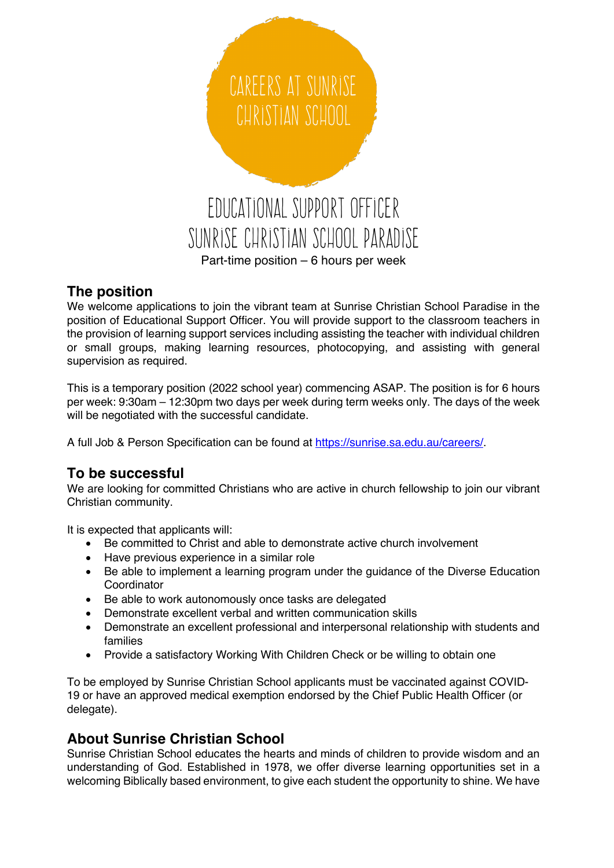

## **The position**

We welcome applications to join the vibrant team at Sunrise Christian School Paradise in the position of Educational Support Officer. You will provide support to the classroom teachers in the provision of learning support services including assisting the teacher with individual children or small groups, making learning resources, photocopying, and assisting with general supervision as required.

This is a temporary position (2022 school year) commencing ASAP. The position is for 6 hours per week: 9:30am – 12:30pm two days per week during term weeks only. The days of the week will be negotiated with the successful candidate.

A full Job & Person Specification can be found at https://sunrise.sa.edu.au/careers/.

## **To be successful**

We are looking for committed Christians who are active in church fellowship to join our vibrant Christian community.

It is expected that applicants will:

- Be committed to Christ and able to demonstrate active church involvement
- Have previous experience in a similar role
- Be able to implement a learning program under the quidance of the Diverse Education Coordinator
- Be able to work autonomously once tasks are delegated
- Demonstrate excellent verbal and written communication skills
- Demonstrate an excellent professional and interpersonal relationship with students and families
- Provide a satisfactory Working With Children Check or be willing to obtain one

To be employed by Sunrise Christian School applicants must be vaccinated against COVID-19 or have an approved medical exemption endorsed by the Chief Public Health Officer (or delegate).

# **About Sunrise Christian School**

Sunrise Christian School educates the hearts and minds of children to provide wisdom and an understanding of God. Established in 1978, we offer diverse learning opportunities set in a welcoming Biblically based environment, to give each student the opportunity to shine. We have